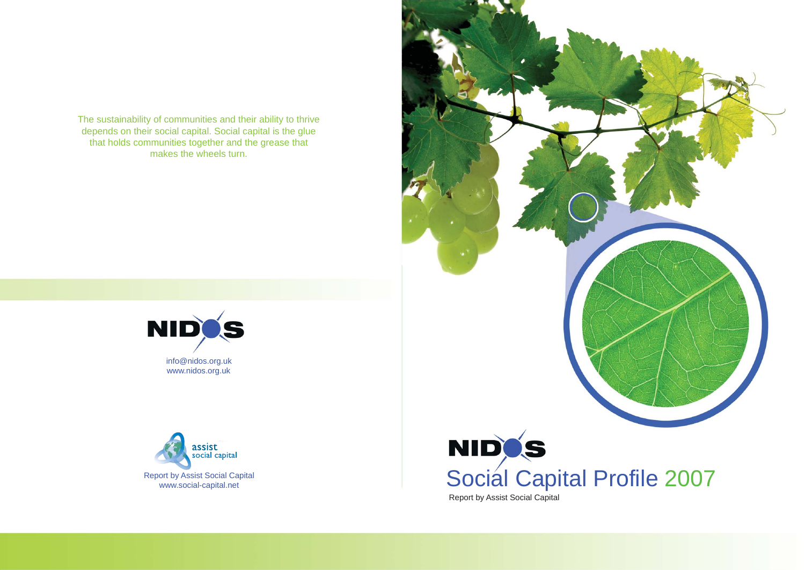



The sustainability of communities and their ability to thrive depends on their social capital. Social capital is the glue that holds communities together and the grease that makes the wheels turn.



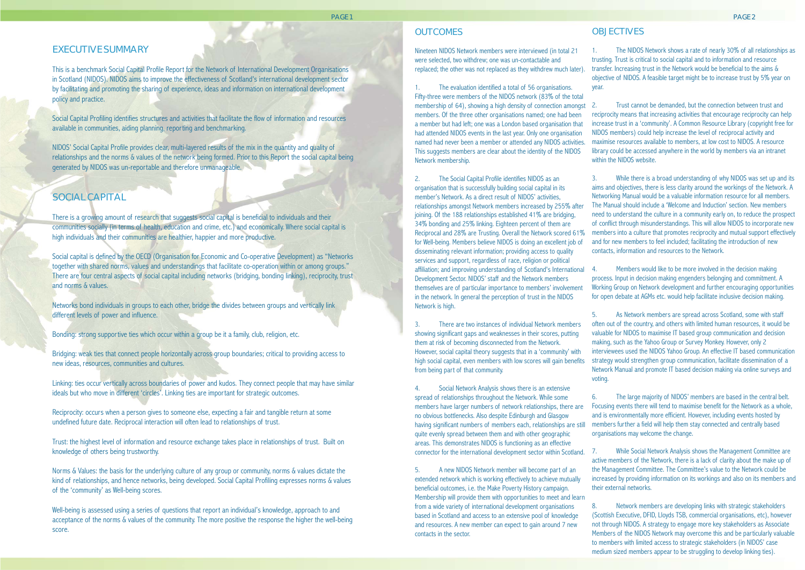# EXECUTIVE SUMMARY

This is a benchmark Social Capital Profile Report for the Network of International Development Organisations in Scotland (NIDOS). NIDOS aims to improve the effectiveness of Scotland's international development sector by facilitating and promoting the sharing of experience, ideas and information on international development policy and practice.

Social Capital Profiling identifies structures and activities that facilitate the flow of information and resources available in communities, aiding planning, reporting and benchmarking.

NIDOS' Social Capital Profile provides clear, multi-layered results of the mix in the quantity and quality of relationships and the norms & values of the network being formed. Prior to this Report the social capital being generated by NIDOS was un-reportable and therefore unmanageable.

# SOCIAL CAPITAL

There is a growing amount of research that suggests social capital is beneficial to individuals and their communities socially (in terms of health, education and crime, etc.) and economically. Where social capital is high individuals and their communities are healthier, happier and more productive.

Social capital is defined by the OECD (Organisation for Economic and Co-operative Development) as "Networks together with shared norms, values and understandings that facilitate co-operation within or among groups." There are four central aspects of social capital including networks (bridging, bonding linking), reciprocity, trust and norms & values.

Networks bond individuals in groups to each other, bridge the divides between groups and vertically link different levels of power and influence.

Bonding: strong supportive ties which occur within a group be it a family, club, religion, etc.

Bridging: weak ties that connect people horizontally across group boundaries; critical to providing access to new ideas, resources, communities and cultures.

The evaluation identified a total of 56 organisations. Fifty-three were members of the NIDOS network (83% of the total membership of 64), showing a high density of connection amongst 2. members. Of the three other organisations named; one had been a member but had left; one was a London based organisation that had attended NIDOS events in the last year. Only one organisation named had never been a member or attended any NIDOS activities. This suggests members are clear about the identity of the NIDOS Network membership.

Linking: ties occur vertically across boundaries of power and kudos. They connect people that may have similar ideals but who move in different 'circles'. Linking ties are important for strategic outcomes.

Reciprocity: occurs when a person gives to someone else, expecting a fair and tangible return at some undefined future date. Reciprocal interaction will often lead to relationships of trust.

Trust: the highest level of information and resource exchange takes place in relationships of trust. Built on knowledge of others being trustworthy.

Norms & Values: the basis for the underlying culture of any group or community, norms & values dictate the kind of relationships, and hence networks, being developed. Social Capital Profiling expresses norms & values of the 'community' as Well-being scores.

Well-being is assessed using a series of questions that report an individual's knowledge, approach to and acceptance of the norms & values of the community. The more positive the response the higher the well-being score.

### **OUTCOMES**

Nineteen NIDOS Network members were interviewed (in total 21 were selected, two withdrew; one was un-contactable and replaced; the other was not replaced as they withdrew much later).

> Trust cannot be demanded, but the connection between trust and reciprocity means that increasing activities that encourage reciprocity can help increase trust in a 'community'. A Common Resource Library (copyright free for NIDOS members) could help increase the level of reciprocal activity and maximise resources available to members, at low cost to NIDOS. A resource library could be accessed anywhere in the world by members via an intranet within the NIDOS website.

> Members would like to be more involved in the decision making process. Input in decision making engenders belonging and commitment. A Working Group on Network development and further encouraging opportunities for open debate at AGMs etc. would help facilitate inclusive decision making.

2. The Social Capital Profile identifies NIDOS as an organisation that is successfully building social capital in its member's Network. As a direct result of NIDOS' activities, relationships amongst Network members increased by 255% after joining. Of the 188 relationships established 41% are bridging, 34% bonding and 25% linking. Eighteen percent of them are Reciprocal and 28% are Trusting. Overall the Network scored 61% for Well-being. Members believe NIDOS is doing an excellent job of disseminating relevant information; providing access to quality services and support, regardless of race, religion or political affiliation; and improving understanding of Scotland's International 4. Development Sector. NIDOS' staff and the Network members themselves are of particular importance to members' involvement in the network. In general the perception of trust in the NIDOS Network is high.

> While Social Network Analysis shows the Management Committee are active members of the Network, there is a lack of clarity about the make up of the Management Committee. The Committee's value to the Network could be increased by providing information on its workings and also on its members and their external networks.

3. There are two instances of individual Network members showing significant gaps and weaknesses in their scores, putting them at risk of becoming disconnected from the Network. However, social capital theory suggests that in a 'community' with high social capital, even members with low scores will gain benefits from being part of that community.

Social Network Analysis shows there is an extensive spread of relationships throughout the Network. While some members have larger numbers of network relationships, there are no obvious bottlenecks. Also despite Edinburgh and Glasgow having significant numbers of members each, relationships are still quite evenly spread between them and with other geographic areas. This demonstrates NIDOS is functioning as an effective connector for the international development sector within Scotland. 7.

5. A new NIDOS Network member will become part of an extended network which is working effectively to achieve mutually beneficial outcomes, i.e. the Make Poverty History campaign. Membership will provide them with opportunities to meet and learn from a wide variety of international development organisations based in Scotland and access to an extensive pool of knowledge and resources. A new member can expect to gain around 7 new contacts in the sector.

1. The NIDOS Network shows a rate of nearly 30% of all relationships as trusting. Trust is critical to social capital and to information and resource transfer. Increasing trust in the Network would be beneficial to the aims & objective of NIDOS. A feasible target might be to increase trust by 5% year on

year.

3. While there is a broad understanding of why NIDOS was set up and its aims and objectives, there is less clarity around the workings of the Network. A Networking Manual would be a valuable information resource for all members. The Manual should include a 'Welcome and Induction' section. New members need to understand the culture in a community early on, to reduce the prospect of conflict through misunderstandings. This will allow NIDOS to incorporate new members into a culture that promotes reciprocity and mutual support effectively and for new members to feel included; facilitating the introduction of new contacts, information and resources to the Network.

5. As Network members are spread across Scotland, some with staff often out of the country, and others with limited human resources, it would be valuable for NIDOS to maximise IT based group communication and decision making, such as the Yahoo Group or Survey Monkey. However, only 2 interviewees used the NIDOS Yahoo Group. An effective IT based communication strategy would strengthen group communication, facilitate dissemination of a Network Manual and promote IT based decision making via online surveys and

voting.

### **OBJECTIVES**

6. The large majority of NIDOS' members are based in the central belt. Focusing events there will tend to maximise benefit for the Network as a whole, and is environmentally more efficient. However, including events hosted by members further a field will help them stay connected and centrally based organisations may welcome the change.

8. Network members are developing links with strategic stakeholders (Scottish Executive, DFID, Lloyds TSB, commercial organisations, etc), however not through NIDOS. A strategy to engage more key stakeholders as Associate Members of the NIDOS Network may overcome this and be particularly valuable to members with limited access to strategic stakeholders (in NIDOS' case medium sized members appear to be struggling to develop linking ties).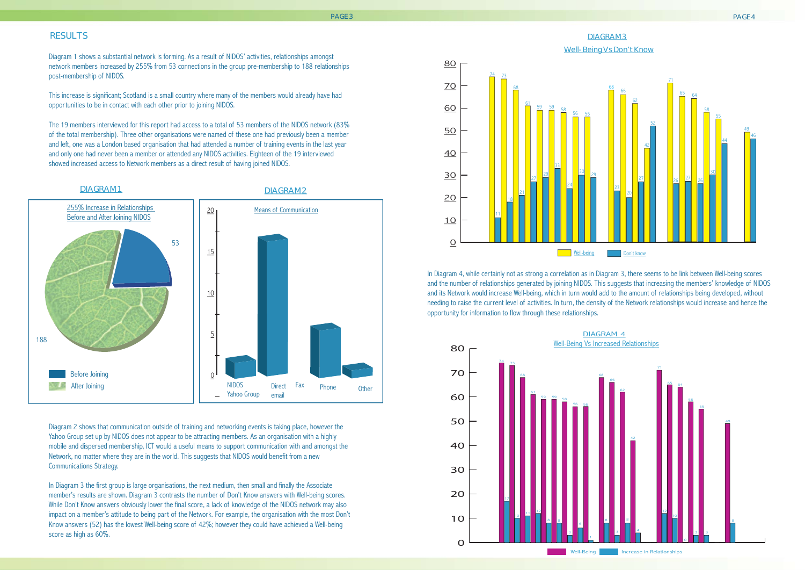### RESULTS

Diagram 1 shows a substantial network is forming. As a result of NIDOS' activities, relationships amongst network members increased by 255% from 53 connections in the group pre-membership to 188 relationships post-membership of NIDOS.

This increase is significant; Scotland is a small country where many of the members would already have had opportunities to be in contact with each other prior to joining NIDOS.

The 19 members interviewed for this report had access to a total of 53 members of the NIDOS network (83% of the total membership). Three other organisations were named of these one had previously been a member and left, one was a London based organisation that had attended a number of training events in the last year and only one had never been a member or attended any NIDOS activities. Eighteen of the 19 interviewed showed increased access to Network members as a direct result of having joined NIDOS.

In Diagram 3 the first group is large organisations, the next medium, then small and finally the Associate member's results are shown. Diagram 3 contrasts the number of Don't Know answers with Well-being scores. While Don't Know answers obviously lower the final score, a lack of knowledge of the NIDOS network may also impact on a member's attitude to being part of the Network. For example, the organisation with the most Don't Know answers (52) has the lowest Well-being score of 42%; however they could have achieved a Well-being score as high as 60%.

Diagram 2 shows that communication outside of training and networking events is taking place, however the Yahoo Group set up by NIDOS does not appear to be attracting members. As an organisation with a highly mobile and dispersed membership, ICT would a useful means to support communication with and amongst the Network, no matter where they are in the world. This suggests that NIDOS would benefit from a new Communications Strategy.





# DIAGRAM 3



In Diagram 4, while certainly not as strong a correlation as in Diagram 3, there seems to be link between Well-being scores and the number of relationships generated by joining NIDOS. This suggests that increasing the members' knowledge of NIDOS and its Network would increase Well-being, which in turn would add to the amount of relationships being developed, without needing to raise the current level of activities. In turn, the density of the Network relationships would increase and hence the opportunity for information to flow through these relationships.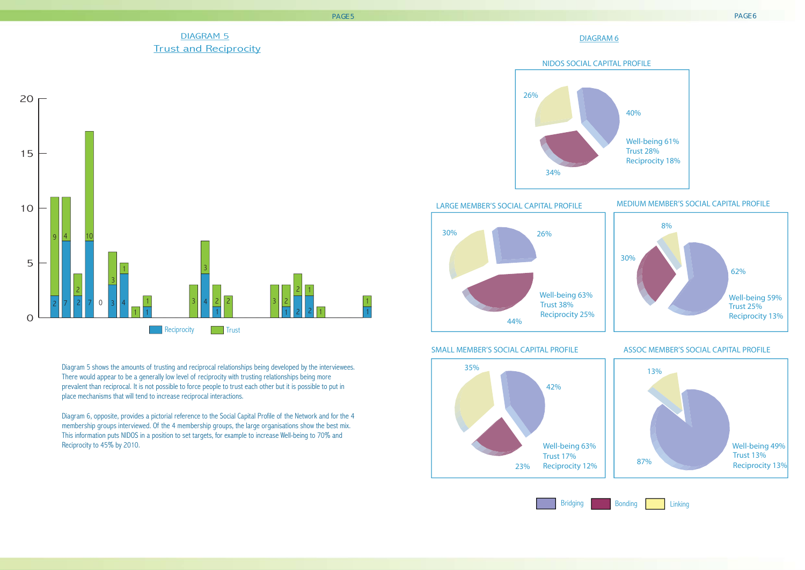# DIAGRAM 6



## LARGE MEMBER'S SOCIAL CAPITAL PROFILE MEDIUM MEMBER'S SOCIAL CAPITAL PROFILE

### SMALL MEMBER'S SOCIAL CAPITAL PROFILE ASSOC MEMBER'S SOCIAL CAPITAL PROFILE

Well-being 61% Trust 28% Reciprocity 18%



40%



# DIAGRAM 5 Trust and Reciprocity



![](_page_3_Figure_1.jpeg)

### PAGE 5 PAGE 6

Diagram 5 shows the amounts of trusting and reciprocal relationships being developed by the interviewees. There would appear to be a generally low level of reciprocity with trusting relationships being more prevalent than reciprocal. It is not possible to force people to trust each other but it is possible to put in place mechanisms that will tend to increase reciprocal interactions.

Diagram 6, opposite, provides a pictorial reference to the Social Capital Profile of the Network and for the 4 membership groups interviewed. Of the 4 membership groups, the large organisations show the best mix. This information puts NIDOS in a position to set targets, for example to increase Well-being to 70% and Reciprocity to 45% by 2010.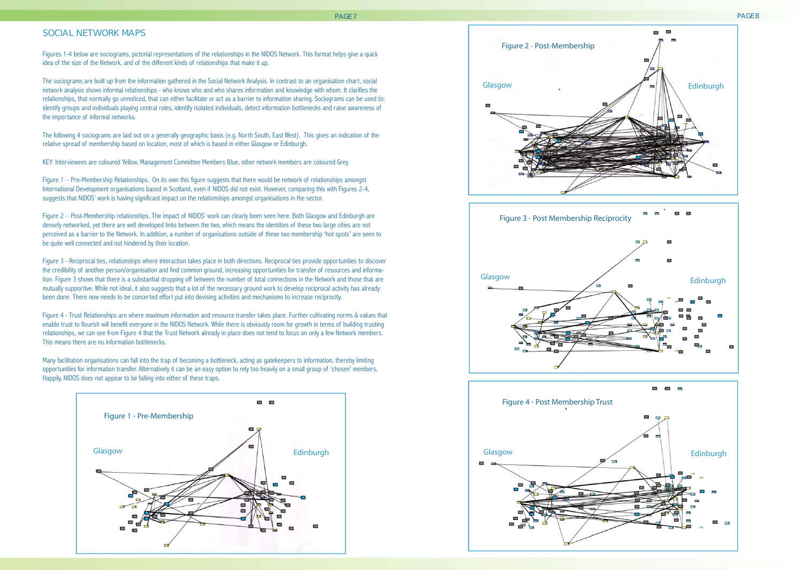### SOCIAL NETWORK MAPS

Figures 1-4 below are sociograms, pictorial representations of the relationships in the NIDOS Network. This format helps give a quick idea of the size of the Network, and of the different kinds of relationships that make it up.

The sociograms are built up from the information gathered in the Social Network Analysis. In contrast to an organisation chart, social network analysis shows informal relationships - who knows who and who shares information and knowledge with whom. It clarifies the relationships, that normally go unnoticed, that can either facilitate or act as a barrier to information sharing. Sociograms can be used to: identify groups and individuals playing central roles, identify isolated individuals, detect information bottlenecks and raise awareness of the importance of informal networks.

Figure 1 – Pre-Membership Relationships. On its own this figure suggests that there would be network of relationships amongst International Development organisations based in Scotland, even if NIDOS did not exist. However, comparing this with Figures 2-4, suggests that NIDOS' work is having significant impact on the relationships amongst organisations in the sector.

The following 4 sociograms are laid out on a generally geographic basis (e.g. North South, East West). This gives an indication of the relative spread of membership based on location, most of which is based in either Glasgow or Edinburgh.

KEY: Interviewees are coloured Yellow, Management Committee Members Blue, other network members are coloured Grey.

Figure 2 – Post-Membership relationships. The impact of NIDOS' work can clearly been seen here. Both Glasgow and Edinburgh are densely networked, yet there are well developed links between the two, which means the identities of these two large cities are not perceived as a barrier to the Network. In addition, a number of organisations outside of these two membership 'hot spots' are seen to be quite well connected and not hindered by their location.

Figure 3 - Reciprocal ties, relationships where interaction takes place in both directions. Reciprocal ties provide opportunities to discover the credibility of another person/organisation and find common ground, increasing opportunities for transfer of resources and information. Figure 3 shows that there is a substantial dropping off between the number of total connections in the Network and those that are mutually supportive. While not ideal, it also suggests that a lot of the necessary ground work to develop reciprocal activity has already been done. There now needs to be concerted effort put into devising activities and mechanisms to increase reciprocity.

Figure 4 - Trust Relationships are where maximum information and resource transfer takes place. Further cultivating norms & values that enable trust to flourish will benefit everyone in the NIDOS Network. While there is obviously room for growth in terms of building trusting relationships, we can see from Figure 4 that the Trust Network already in place does not tend to focus on only a few Network members. This means there are no information bottlenecks.

Many facilitation organisations can fall into the trap of becoming a bottleneck, acting as gatekeepers to information, thereby limiting opportunities for information transfer. Alternatively it can be an easy option to rely too heavily on a small group of 'chosen' members. Happily, NIDOS does not appear to be falling into either of these traps.

PAGE 7 PAGE 8

### Figure 2 - Post-Membership

![](_page_4_Figure_10.jpeg)

![](_page_4_Figure_13.jpeg)

![](_page_4_Picture_12.jpeg)

![](_page_4_Picture_14.jpeg)

![](_page_4_Figure_16.jpeg)